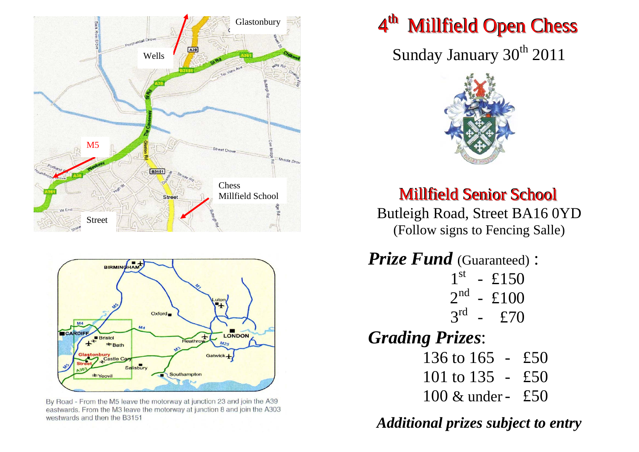

By Road - From the M5 leave the motorway at junction 23 and join the A39 eastwards. From the M3 leave the motorway at junction 8 and join the A303 westwards and then the B3151

# 4<sup>th</sup> Millfield Open Chess

Sunday January 30<sup>th</sup> 2011



**Millfield Senior School** 

Butleigh Road, Street BA16 0YD (Follow signs to Fencing Salle)

*Prize Fund* (Guaranteed) :  $1^{\text{st}}$  - £150  $2^{nd}$  - £100  $3^{rd}$  - £70 *Grading Prizes*: 136 to 165 - £50 101 to 135 - £50

100 & under- £50

*Additional prizes subject to entry*